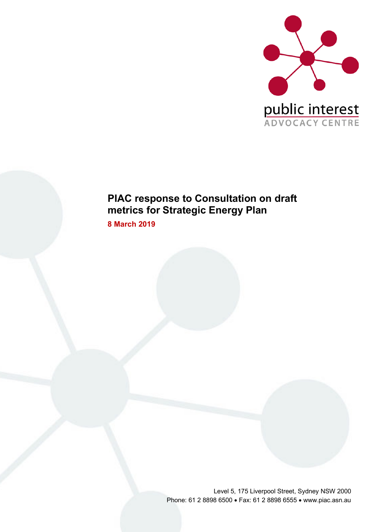

# **PIAC response to Consultation on draft metrics for Strategic Energy Plan**

**8 March 2019**

Level 5, 175 Liverpool Street, Sydney NSW 2000 Phone: 61 2 8898 6500 • Fax: 61 2 8898 6555 • www.piac.asn.au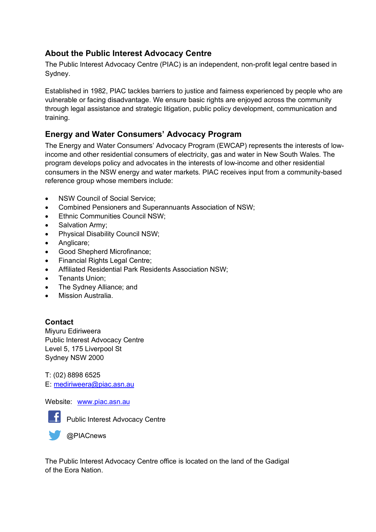### **About the Public Interest Advocacy Centre**

The Public Interest Advocacy Centre (PIAC) is an independent, non-profit legal centre based in Sydney.

Established in 1982, PIAC tackles barriers to justice and fairness experienced by people who are vulnerable or facing disadvantage. We ensure basic rights are enjoyed across the community through legal assistance and strategic litigation, public policy development, communication and training.

### **Energy and Water Consumers' Advocacy Program**

The Energy and Water Consumers' Advocacy Program (EWCAP) represents the interests of lowincome and other residential consumers of electricity, gas and water in New South Wales. The program develops policy and advocates in the interests of low-income and other residential consumers in the NSW energy and water markets. PIAC receives input from a community-based reference group whose members include:

- NSW Council of Social Service:
- Combined Pensioners and Superannuants Association of NSW;
- Ethnic Communities Council NSW;
- Salvation Army:
- Physical Disability Council NSW;
- Anglicare;
- Good Shepherd Microfinance;
- Financial Rights Legal Centre;
- Affiliated Residential Park Residents Association NSW;
- Tenants Union;
- The Sydney Alliance; and
- Mission Australia.

#### **Contact**

Miyuru Ediriweera Public Interest Advocacy Centre Level 5, 175 Liverpool St Sydney NSW 2000

T: (02) 8898 6525 E: mediriweera@piac.asn.au

#### Website: www.piac.asn.au



Public Interest Advocacy Centre

The Public Interest Advocacy Centre office is located on the land of the Gadigal of the Eora Nation.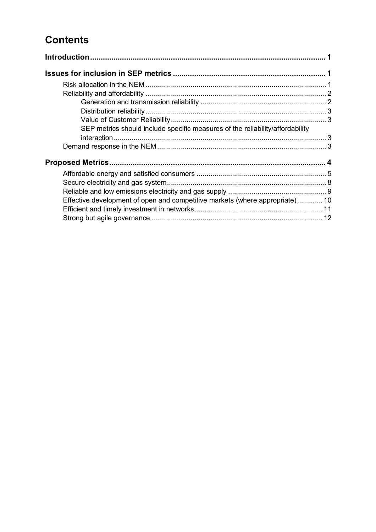# **Contents**

| SEP metrics should include specific measures of the reliability/affordability |  |
|-------------------------------------------------------------------------------|--|
|                                                                               |  |
|                                                                               |  |
|                                                                               |  |
|                                                                               |  |
|                                                                               |  |
| Effective development of open and competitive markets (where appropriate)10   |  |
|                                                                               |  |
|                                                                               |  |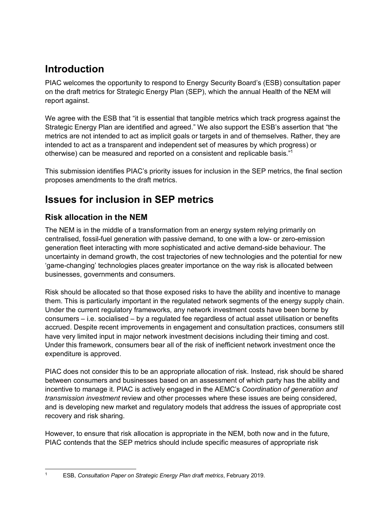# **Introduction**

PIAC welcomes the opportunity to respond to Energy Security Board's (ESB) consultation paper on the draft metrics for Strategic Energy Plan (SEP), which the annual Health of the NEM will report against.

We agree with the ESB that "it is essential that tangible metrics which track progress against the Strategic Energy Plan are identified and agreed." We also support the ESB's assertion that "the metrics are not intended to act as implicit goals or targets in and of themselves. Rather, they are intended to act as a transparent and independent set of measures by which progress) or otherwise) can be measured and reported on a consistent and replicable basis."1

This submission identifies PIAC's priority issues for inclusion in the SEP metrics, the final section proposes amendments to the draft metrics.

# **Issues for inclusion in SEP metrics**

### **Risk allocation in the NEM**

The NEM is in the middle of a transformation from an energy system relying primarily on centralised, fossil-fuel generation with passive demand, to one with a low- or zero-emission generation fleet interacting with more sophisticated and active demand-side behaviour. The uncertainty in demand growth, the cost trajectories of new technologies and the potential for new 'game-changing' technologies places greater importance on the way risk is allocated between businesses, governments and consumers.

Risk should be allocated so that those exposed risks to have the ability and incentive to manage them. This is particularly important in the regulated network segments of the energy supply chain. Under the current regulatory frameworks, any network investment costs have been borne by consumers – i.e. socialised – by a regulated fee regardless of actual asset utilisation or benefits accrued. Despite recent improvements in engagement and consultation practices, consumers still have very limited input in major network investment decisions including their timing and cost. Under this framework, consumers bear all of the risk of inefficient network investment once the expenditure is approved.

PIAC does not consider this to be an appropriate allocation of risk. Instead, risk should be shared between consumers and businesses based on an assessment of which party has the ability and incentive to manage it. PIAC is actively engaged in the AEMC's *Coordination of generation and transmission investment* review and other processes where these issues are being considered, and is developing new market and regulatory models that address the issues of appropriate cost recovery and risk sharing.

However, to ensure that risk allocation is appropriate in the NEM, both now and in the future, PIAC contends that the SEP metrics should include specific measures of appropriate risk

 <sup>1</sup> ESB, *Consultation Paper on Strategic Energy Plan draft metrics*, February 2019.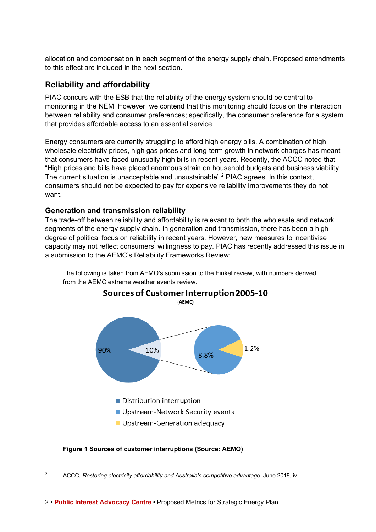allocation and compensation in each segment of the energy supply chain. Proposed amendments to this effect are included in the next section.

### **Reliability and affordability**

PIAC concurs with the ESB that the reliability of the energy system should be central to monitoring in the NEM. However, we contend that this monitoring should focus on the interaction between reliability and consumer preferences; specifically, the consumer preference for a system that provides affordable access to an essential service.

Energy consumers are currently struggling to afford high energy bills. A combination of high wholesale electricity prices, high gas prices and long-term growth in network charges has meant that consumers have faced unusually high bills in recent years. Recently, the ACCC noted that "High prices and bills have placed enormous strain on household budgets and business viability. The current situation is unacceptable and unsustainable".<sup>2</sup> PIAC agrees. In this context, consumers should not be expected to pay for expensive reliability improvements they do not want.

#### **Generation and transmission reliability**

The trade-off between reliability and affordability is relevant to both the wholesale and network segments of the energy supply chain. In generation and transmission, there has been a high degree of political focus on reliability in recent years. However, new measures to incentivise capacity may not reflect consumers' willingness to pay. PIAC has recently addressed this issue in a submission to the AEMC's Reliability Frameworks Review:



The following is taken from AEMO's submission to the Finkel review, with numbers derived from the AEMC extreme weather events review.

#### **Figure 1 Sources of customer interruptions (Source: AEMO)**

<sup>&</sup>lt;sup>2</sup> ACCC, *Restoring electricity affordability and Australia's competitive advantage*, June 2018, iv.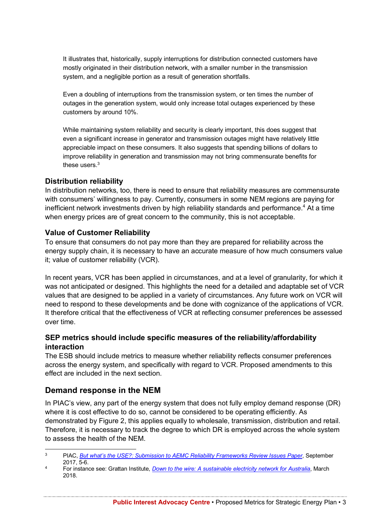It illustrates that, historically, supply interruptions for distribution connected customers have mostly originated in their distribution network, with a smaller number in the transmission system, and a negligible portion as a result of generation shortfalls.

Even a doubling of interruptions from the transmission system, or ten times the number of outages in the generation system, would only increase total outages experienced by these customers by around 10%.

While maintaining system reliability and security is clearly important, this does suggest that even a significant increase in generator and transmission outages might have relatively little appreciable impact on these consumers. It also suggests that spending billions of dollars to improve reliability in generation and transmission may not bring commensurate benefits for these users  $3$ 

#### **Distribution reliability**

In distribution networks, too, there is need to ensure that reliability measures are commensurate with consumers' willingness to pay. Currently, consumers in some NEM regions are paying for inefficient network investments driven by high reliability standards and performance.<sup>4</sup> At a time when energy prices are of great concern to the community, this is not acceptable.

#### **Value of Customer Reliability**

To ensure that consumers do not pay more than they are prepared for reliability across the energy supply chain, it is necessary to have an accurate measure of how much consumers value it; value of customer reliability (VCR).

In recent years, VCR has been applied in circumstances, and at a level of granularity, for which it was not anticipated or designed. This highlights the need for a detailed and adaptable set of VCR values that are designed to be applied in a variety of circumstances. Any future work on VCR will need to respond to these developments and be done with cognizance of the applications of VCR. It therefore critical that the effectiveness of VCR at reflecting consumer preferences be assessed over time.

#### **SEP metrics should include specific measures of the reliability/affordability interaction**

The ESB should include metrics to measure whether reliability reflects consumer preferences across the energy system, and specifically with regard to VCR. Proposed amendments to this effect are included in the next section.

#### **Demand response in the NEM**

In PIAC's view, any part of the energy system that does not fully employ demand response (DR) where it is cost effective to do so, cannot be considered to be operating efficiently. As demonstrated by Figure 2, this applies equally to wholesale, transmission, distribution and retail. Therefore, it is necessary to track the degree to which DR is employed across the whole system to assess the health of the NEM.

 <sup>3</sup> PIAC, *But what's the USE?: Submission to AEMC Reliability Frameworks Review Issues Paper*, September 2017, 5-6.

<sup>4</sup> For instance see: Grattan Institute, *Down to the wire: A sustainable electricity network for Australia*, March 2018.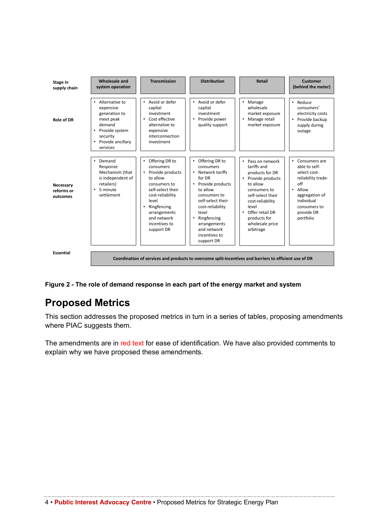

**Figure 2 - The role of demand response in each part of the energy market and system**

# **Proposed Metrics**

This section addresses the proposed metrics in turn in a series of tables, proposing amendments where PIAC suggests them.

The amendments are in red text for ease of identification. We have also provided comments to explain why we have proposed these amendments.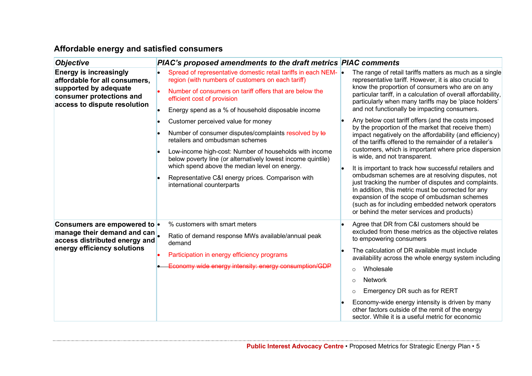# **Affordable energy and satisfied consumers**

| <b>Objective</b>                                                                                                    | PIAC's proposed amendments to the draft metrics PIAC comments                                                          |                                                                                                                                                                                                                                                              |
|---------------------------------------------------------------------------------------------------------------------|------------------------------------------------------------------------------------------------------------------------|--------------------------------------------------------------------------------------------------------------------------------------------------------------------------------------------------------------------------------------------------------------|
| <b>Energy is increasingly</b><br>affordable for all consumers,<br>supported by adequate<br>consumer protections and | Spread of representative domestic retail tariffs in each NEM- •<br>region (with numbers of customers on each tariff)   | The range of retail tariffs matters as much as a single<br>representative tariff. However, it is also crucial to                                                                                                                                             |
|                                                                                                                     | Number of consumers on tariff offers that are below the<br>efficient cost of provision                                 | know the proportion of consumers who are on any<br>particular tariff, in a calculation of overall affordability,<br>particularly when many tariffs may be 'place holders'                                                                                    |
| access to dispute resolution                                                                                        | Energy spend as a % of household disposable income                                                                     | and not functionally be impacting consumers.                                                                                                                                                                                                                 |
|                                                                                                                     | Customer perceived value for money                                                                                     | Any below cost tariff offers (and the costs imposed                                                                                                                                                                                                          |
|                                                                                                                     | Number of consumer disputes/complaints resolved by to<br>retailers and ombudsman schemes                               | by the proportion of the market that receive them)<br>impact negatively on the affordability (and efficiency)<br>of the tariffs offered to the remainder of a retailer's                                                                                     |
|                                                                                                                     | Low-income high-cost: Number of households with income<br>below poverty line (or alternatively lowest income quintile) | customers, which is important where price dispersion<br>is wide, and not transparent.                                                                                                                                                                        |
|                                                                                                                     | which spend above the median level on energy.<br>Representative C&I energy prices. Comparison with                     | It is important to track how successful retailers and<br>ombudsman schemes are at resolving disputes, not                                                                                                                                                    |
|                                                                                                                     | international counterparts                                                                                             | just tracking the number of disputes and complaints.<br>In addition, this metric must be corrected for any<br>expansion of the scope of ombudsman schemes<br>(such as for including embedded network operators<br>or behind the meter services and products) |
| Consumers are empowered to .                                                                                        | % customers with smart meters                                                                                          | Agree that DR from C&I customers should be                                                                                                                                                                                                                   |
| manage their demand and can<br>access distributed energy and<br>energy efficiency solutions                         | Ratio of demand response MWs available/annual peak<br>demand                                                           | excluded from these metrics as the objective relates<br>to empowering consumers                                                                                                                                                                              |
|                                                                                                                     | Participation in energy efficiency programs                                                                            | The calculation of DR available must include<br>availability across the whole energy system including                                                                                                                                                        |
|                                                                                                                     | Economy wide energy intensity: energy consumption/GDP                                                                  | Wholesale<br>$\bigcirc$                                                                                                                                                                                                                                      |
|                                                                                                                     |                                                                                                                        | <b>Network</b><br>$\cap$                                                                                                                                                                                                                                     |
|                                                                                                                     |                                                                                                                        | Emergency DR such as for RERT                                                                                                                                                                                                                                |
|                                                                                                                     |                                                                                                                        | Economy-wide energy intensity is driven by many<br>other factors outside of the remit of the energy<br>sector. While it is a useful metric for economic                                                                                                      |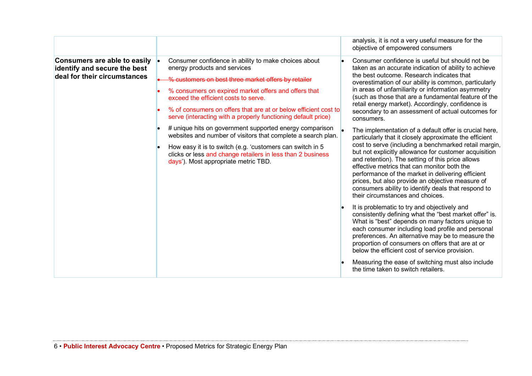|                                                                                                     |                                                                                                                                                                                                                                                                                                                                                                                                                                                                                                                                                                                                                                                                                | analysis, it is not a very useful measure for the<br>objective of empowered consumers                                                                                                                                                                                                                                                                                                                                                                                                                                                                                                                                                                                                                                                                                                                                                                                                                                                                                                                                                                                                                                                                                                                                                                                                                                                                                           |
|-----------------------------------------------------------------------------------------------------|--------------------------------------------------------------------------------------------------------------------------------------------------------------------------------------------------------------------------------------------------------------------------------------------------------------------------------------------------------------------------------------------------------------------------------------------------------------------------------------------------------------------------------------------------------------------------------------------------------------------------------------------------------------------------------|---------------------------------------------------------------------------------------------------------------------------------------------------------------------------------------------------------------------------------------------------------------------------------------------------------------------------------------------------------------------------------------------------------------------------------------------------------------------------------------------------------------------------------------------------------------------------------------------------------------------------------------------------------------------------------------------------------------------------------------------------------------------------------------------------------------------------------------------------------------------------------------------------------------------------------------------------------------------------------------------------------------------------------------------------------------------------------------------------------------------------------------------------------------------------------------------------------------------------------------------------------------------------------------------------------------------------------------------------------------------------------|
| <b>Consumers are able to easily</b><br>identify and secure the best<br>deal for their circumstances | Consumer confidence in ability to make choices about<br>energy products and services<br>% customers on best three market offers by retailer<br>% consumers on expired market offers and offers that<br>exceed the efficient costs to serve.<br>% of consumers on offers that are at or below efficient cost to<br>serve (interacting with a properly functioning default price)<br># unique hits on government supported energy comparison<br>websites and number of visitors that complete a search plan.<br>How easy it is to switch (e.g. 'customers can switch in 5<br>clicks or less and change retailers in less than 2 business<br>days'). Most appropriate metric TBD. | Consumer confidence is useful but should not be<br>taken as an accurate indication of ability to achieve<br>the best outcome. Research indicates that<br>overestimation of our ability is common, particularly<br>in areas of unfamiliarity or information asymmetry<br>(such as those that are a fundamental feature of the<br>retail energy market). Accordingly, confidence is<br>secondary to an assessment of actual outcomes for<br>consumers.<br>The implementation of a default offer is crucial here,<br>particularly that it closely approximate the efficient<br>cost to serve (including a benchmarked retail margin,<br>but not explicitly allowance for customer acquisition<br>and retention). The setting of this price allows<br>effective metrics that can monitor both the<br>performance of the market in delivering efficient<br>prices, but also provide an objective measure of<br>consumers ability to identify deals that respond to<br>their circumstances and choices.<br>It is problematic to try and objectively and<br>consistently defining what the "best market offer" is.<br>What is "best" depends on many factors unique to<br>each consumer including load profile and personal<br>preferences. An alternative may be to measure the<br>proportion of consumers on offers that are at or<br>below the efficient cost of service provision. |
|                                                                                                     |                                                                                                                                                                                                                                                                                                                                                                                                                                                                                                                                                                                                                                                                                | Measuring the ease of switching must also include<br>the time taken to switch retailers.                                                                                                                                                                                                                                                                                                                                                                                                                                                                                                                                                                                                                                                                                                                                                                                                                                                                                                                                                                                                                                                                                                                                                                                                                                                                                        |

المستند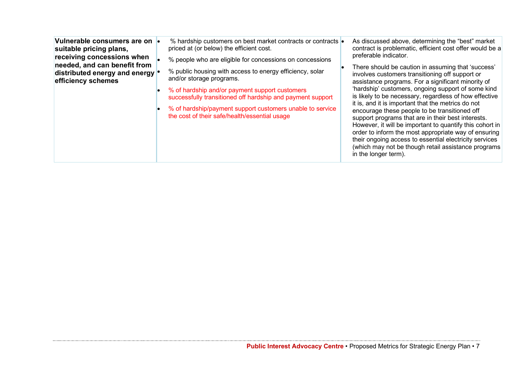| Vulnerable consumers are on  <br>suitable pricing plans,<br>receiving concessions when<br>needed, and can benefit from<br>distributed energy and energy<br>efficiency schemes | % hardship customers on best market contracts or contracts<br>priced at (or below) the efficient cost.<br>% people who are eligible for concessions on concessions<br>% public housing with access to energy efficiency, solar<br>and/or storage programs.<br>% of hardship and/or payment support customers<br>successfully transitioned off hardship and payment support<br>% of hardship/payment support customers unable to service<br>the cost of their safe/health/essential usage | As discussed above, determining the "best" market<br>contract is problematic, efficient cost offer would be a<br>preferable indicator.<br>There should be caution in assuming that 'success'<br>involves customers transitioning off support or<br>assistance programs. For a significant minority of<br>'hardship' customers, ongoing support of some kind<br>is likely to be necessary, regardless of how effective<br>it is, and it is important that the metrics do not<br>encourage these people to be transitioned off<br>support programs that are in their best interests.<br>However, it will be important to quantify this cohort in<br>order to inform the most appropriate way of ensuring<br>their ongoing access to essential electricity services<br>(which may not be though retail assistance programs<br>in the longer term). |
|-------------------------------------------------------------------------------------------------------------------------------------------------------------------------------|------------------------------------------------------------------------------------------------------------------------------------------------------------------------------------------------------------------------------------------------------------------------------------------------------------------------------------------------------------------------------------------------------------------------------------------------------------------------------------------|-------------------------------------------------------------------------------------------------------------------------------------------------------------------------------------------------------------------------------------------------------------------------------------------------------------------------------------------------------------------------------------------------------------------------------------------------------------------------------------------------------------------------------------------------------------------------------------------------------------------------------------------------------------------------------------------------------------------------------------------------------------------------------------------------------------------------------------------------|
|-------------------------------------------------------------------------------------------------------------------------------------------------------------------------------|------------------------------------------------------------------------------------------------------------------------------------------------------------------------------------------------------------------------------------------------------------------------------------------------------------------------------------------------------------------------------------------------------------------------------------------------------------------------------------------|-------------------------------------------------------------------------------------------------------------------------------------------------------------------------------------------------------------------------------------------------------------------------------------------------------------------------------------------------------------------------------------------------------------------------------------------------------------------------------------------------------------------------------------------------------------------------------------------------------------------------------------------------------------------------------------------------------------------------------------------------------------------------------------------------------------------------------------------------|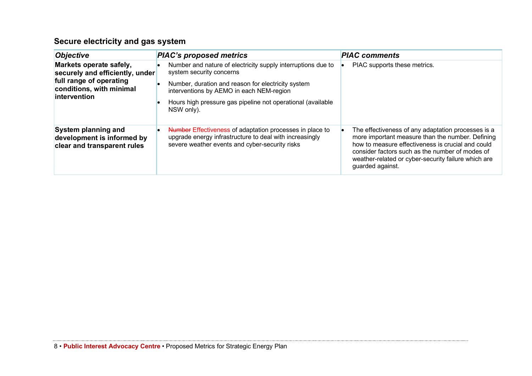# **Secure electricity and gas system**

| <b>Objective</b>                                                                                                                          | <b>PIAC's proposed metrics</b>                                                                                                                                                                                                                                          | <b>PIAC</b> comments                                                                                                                                                                                                                                                                      |
|-------------------------------------------------------------------------------------------------------------------------------------------|-------------------------------------------------------------------------------------------------------------------------------------------------------------------------------------------------------------------------------------------------------------------------|-------------------------------------------------------------------------------------------------------------------------------------------------------------------------------------------------------------------------------------------------------------------------------------------|
| Markets operate safely,<br>securely and efficiently, under<br>full range of operating<br>conditions, with minimal<br><b>lintervention</b> | Number and nature of electricity supply interruptions due to<br>system security concerns<br>Number, duration and reason for electricity system<br>interventions by AEMO in each NEM-region<br>Hours high pressure gas pipeline not operational (available<br>NSW only). | PIAC supports these metrics.                                                                                                                                                                                                                                                              |
| System planning and<br>development is informed by<br>clear and transparent rules                                                          | Number Effectiveness of adaptation processes in place to<br>upgrade energy infrastructure to deal with increasingly<br>severe weather events and cyber-security risks                                                                                                   | The effectiveness of any adaptation processes is a<br>more important measure than the number. Defining<br>how to measure effectiveness is crucial and could<br>consider factors such as the number of modes of<br>weather-related or cyber-security failure which are<br>guarded against. |

المستد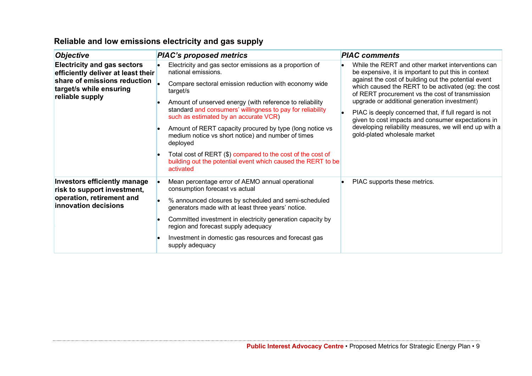| <b>Objective</b>                                                                                                                                       | <b>PIAC's proposed metrics</b>                                                                                                           | <b>PIAC comments</b>                                                                                                                                           |
|--------------------------------------------------------------------------------------------------------------------------------------------------------|------------------------------------------------------------------------------------------------------------------------------------------|----------------------------------------------------------------------------------------------------------------------------------------------------------------|
| <b>Electricity and gas sectors</b><br>efficiently deliver at least their<br>share of emissions reduction<br>target/s while ensuring<br>reliable supply | Electricity and gas sector emissions as a proportion of<br>national emissions.                                                           | While the RERT and other market interventions can<br>be expensive, it is important to put this in context                                                      |
|                                                                                                                                                        | Compare sectoral emission reduction with economy wide<br>target/s                                                                        | against the cost of building out the potential event<br>which caused the RERT to be activated (eg: the cost<br>of RERT procurement vs the cost of transmission |
|                                                                                                                                                        | Amount of unserved energy (with reference to reliability                                                                                 | upgrade or additional generation investment)                                                                                                                   |
|                                                                                                                                                        | standard and consumers' willingness to pay for reliability<br>such as estimated by an accurate VCR)                                      | PIAC is deeply concerned that, if full regard is not<br>given to cost impacts and consumer expectations in                                                     |
|                                                                                                                                                        | Amount of RERT capacity procured by type (long notice vs<br>medium notice vs short notice) and number of times<br>deployed               | developing reliability measures, we will end up with a<br>gold-plated wholesale market                                                                         |
|                                                                                                                                                        | Total cost of RERT (\$) compared to the cost of the cost of<br>building out the potential event which caused the RERT to be<br>activated |                                                                                                                                                                |
| <b>Investors efficiently manage</b><br>risk to support investment,<br>operation, retirement and<br>innovation decisions                                | Mean percentage error of AEMO annual operational<br>consumption forecast vs actual                                                       | PIAC supports these metrics.                                                                                                                                   |
|                                                                                                                                                        | % announced closures by scheduled and semi-scheduled<br>generators made with at least three years' notice.                               |                                                                                                                                                                |
|                                                                                                                                                        | Committed investment in electricity generation capacity by<br>region and forecast supply adequacy                                        |                                                                                                                                                                |
|                                                                                                                                                        | Investment in domestic gas resources and forecast gas<br>supply adequacy                                                                 |                                                                                                                                                                |

# **Reliable and low emissions electricity and gas supply**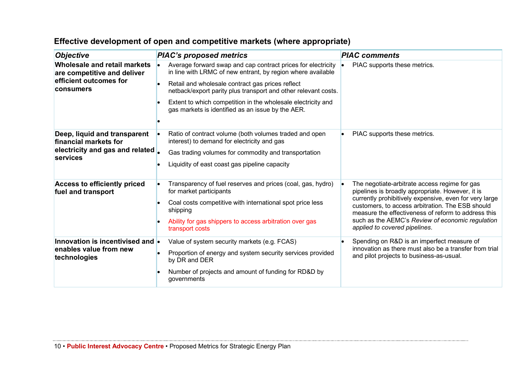| <b>Objective</b>                                                                                   | <b>PIAC's proposed metrics</b>                                                                                              | <b>PIAC</b> comments                                                                                                                                              |
|----------------------------------------------------------------------------------------------------|-----------------------------------------------------------------------------------------------------------------------------|-------------------------------------------------------------------------------------------------------------------------------------------------------------------|
| Wholesale and retail markets<br>are competitive and deliver<br>efficient outcomes for<br>consumers | Average forward swap and cap contract prices for electricity<br>in line with LRMC of new entrant, by region where available | PIAC supports these metrics.<br>lo                                                                                                                                |
|                                                                                                    | Retail and wholesale contract gas prices reflect<br>netback/export parity plus transport and other relevant costs.          |                                                                                                                                                                   |
|                                                                                                    | Extent to which competition in the wholesale electricity and<br>gas markets is identified as an issue by the AER.           |                                                                                                                                                                   |
|                                                                                                    |                                                                                                                             |                                                                                                                                                                   |
| Deep, liquid and transparent<br>financial markets for                                              | Ratio of contract volume (both volumes traded and open<br>interest) to demand for electricity and gas                       | PIAC supports these metrics.                                                                                                                                      |
| electricity and gas and related                                                                    | Gas trading volumes for commodity and transportation                                                                        |                                                                                                                                                                   |
| services                                                                                           | Liquidity of east coast gas pipeline capacity                                                                               |                                                                                                                                                                   |
| <b>Access to efficiently priced</b><br>fuel and transport                                          | Transparency of fuel reserves and prices (coal, gas, hydro)<br>for market participants                                      | The negotiate-arbitrate access regime for gas<br>٠<br>pipelines is broadly appropriate. However, it is                                                            |
|                                                                                                    | Coal costs competitive with international spot price less<br>shipping                                                       | currently prohibitively expensive, even for very large<br>customers, to access arbitration. The ESB should<br>measure the effectiveness of reform to address this |
|                                                                                                    | Ability for gas shippers to access arbitration over gas<br>transport costs                                                  | such as the AEMC's Review of economic regulation<br>applied to covered pipelines.                                                                                 |
| Innovation is incentivised and $\bullet$<br>enables value from new<br>technologies                 | Value of system security markets (e.g. FCAS)                                                                                | Spending on R&D is an imperfect measure of                                                                                                                        |
|                                                                                                    | Proportion of energy and system security services provided<br>by DR and DER                                                 | innovation as there must also be a transfer from trial<br>and pilot projects to business-as-usual.                                                                |
|                                                                                                    | Number of projects and amount of funding for RD&D by<br>governments                                                         |                                                                                                                                                                   |

## **Effective development of open and competitive markets (where appropriate)**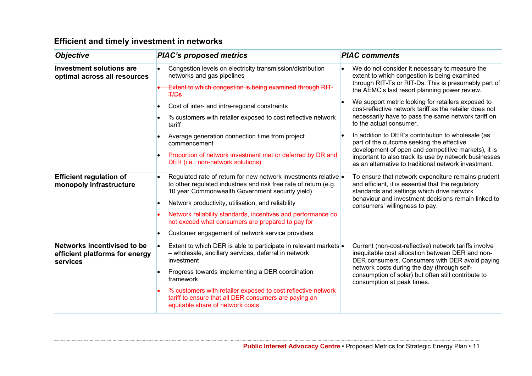| <b>Objective</b>                                                          | <b>PIAC's proposed metrics</b>                                                                                                                                                         | <b>PIAC comments</b>                                                                                                                                        |
|---------------------------------------------------------------------------|----------------------------------------------------------------------------------------------------------------------------------------------------------------------------------------|-------------------------------------------------------------------------------------------------------------------------------------------------------------|
| <b>Investment solutions are</b><br>optimal across all resources           | Congestion levels on electricity transmission/distribution<br>networks and gas pipelines                                                                                               | We do not consider it necessary to measure the<br>extent to which congestion is being examined<br>through RIT-Ts or RIT-Ds. This is presumably part of      |
|                                                                           | Extent to which congestion is being examined through RIT-<br><b>T/Ds</b>                                                                                                               | the AEMC's last resort planning power review.                                                                                                               |
|                                                                           | Cost of inter- and intra-regional constraints                                                                                                                                          | We support metric looking for retailers exposed to<br>cost-reflective network tariff as the retailer does not                                               |
|                                                                           | % customers with retailer exposed to cost reflective network<br>tariff                                                                                                                 | necessarily have to pass the same network tariff on<br>to the actual consumer.                                                                              |
|                                                                           | Average generation connection time from project<br>commencement                                                                                                                        | In addition to DER's contribution to wholesale (as<br>part of the outcome seeking the effective<br>development of open and competitive markets), it is      |
|                                                                           | Proportion of network investment met or deferred by DR and<br>DER (i.e.: non-network solutions)                                                                                        | important to also track its use by network businesses<br>as an alternative to traditional network investment.                                               |
| <b>Efficient regulation of</b><br>monopoly infrastructure                 | Regulated rate of return for new network investments relative .<br>to other regulated industries and risk free rate of return (e.g.<br>10 year Commonwealth Government security yield) | To ensure that network expenditure remains prudent<br>and efficient, it is essential that the regulatory<br>standards and settings which drive network      |
|                                                                           | Network productivity, utilisation, and reliability                                                                                                                                     | behaviour and investment decisions remain linked to<br>consumers' willingness to pay.                                                                       |
|                                                                           | Network reliability standards, incentives and performance do<br>not exceed what consumers are prepared to pay for                                                                      |                                                                                                                                                             |
|                                                                           | Customer engagement of network service providers                                                                                                                                       |                                                                                                                                                             |
| Networks incentivised to be<br>efficient platforms for energy<br>services | Extent to which DER is able to participate in relevant markets .<br>- wholesale, ancillary services, deferral in network<br>investment                                                 | Current (non-cost-reflective) network tariffs involve<br>inequitable cost allocation between DER and non-<br>DER consumers. Consumers with DER avoid paying |
|                                                                           | Progress towards implementing a DER coordination<br>framework                                                                                                                          | network costs during the day (through self-<br>consumption of solar) but often still contribute to<br>consumption at peak times.                            |
|                                                                           | % customers with retailer exposed to cost reflective network<br>tariff to ensure that all DER consumers are paying an<br>equitable share of network costs                              |                                                                                                                                                             |

## **Efficient and timely investment in networks**